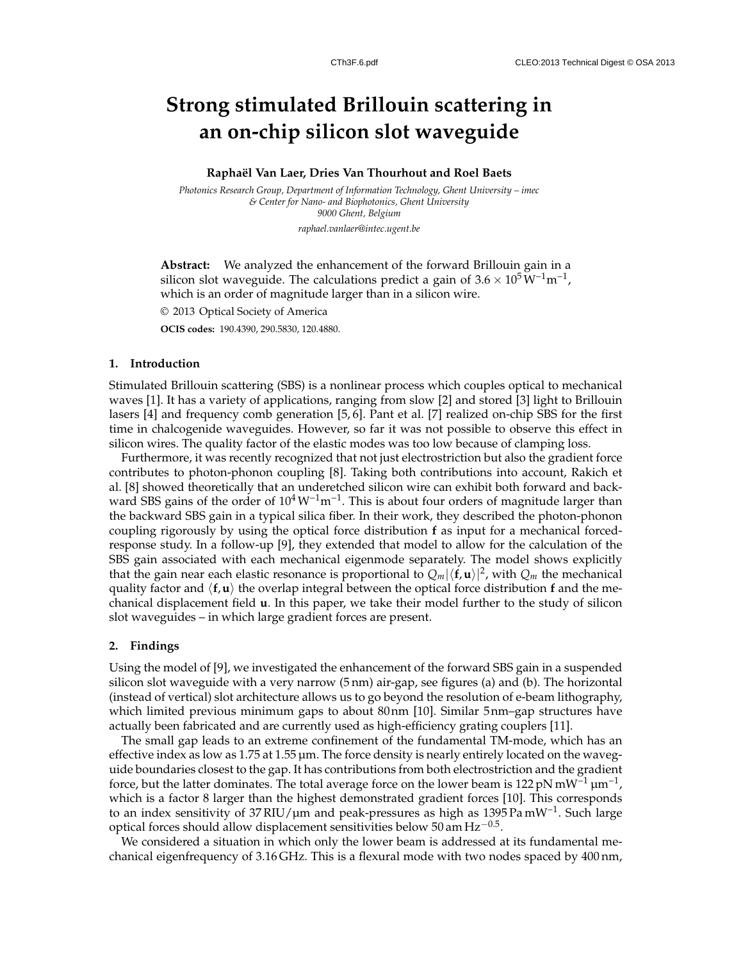# **Strong stimulated Brillouin scattering in an on-chip silicon slot waveguide**

#### **Rapha¨el Van Laer, Dries Van Thourhout and Roel Baets**

*Photonics Research Group, Department of Information Technology, Ghent University – imec & Center for Nano- and Biophotonics, Ghent University 9000 Ghent, Belgium*

*raphael.vanlaer@intec.ugent.be*

**Abstract:** We analyzed the enhancement of the forward Brillouin gain in a silicon slot waveguide. The calculations predict a gain of 3.6 × 10<sup>5</sup>  $\rm W^{-1}m^{-1}$ , which is an order of magnitude larger than in a silicon wire.

© 2013 Optical Society of America

**OCIS codes:** 190.4390, 290.5830, 120.4880.

#### **1. Introduction**

Stimulated Brillouin scattering (SBS) is a nonlinear process which couples optical to mechanical waves [1]. It has a variety of applications, ranging from slow [2] and stored [3] light to Brillouin lasers [4] and frequency comb generation [5, 6]. Pant et al. [7] realized on-chip SBS for the first time in chalcogenide waveguides. However, so far it was not possible to observe this effect in silicon wires. The quality factor of the elastic modes was too low because of clamping loss.

Furthermore, it was recently recognized that not just electrostriction but also the gradient force contributes to photon-phonon coupling [8]. Taking both contributions into account, Rakich et al. [8] showed theoretically that an underetched silicon wire can exhibit both forward and backward SBS gains of the order of  $10^4 W^{-1} m^{-1}$ . This is about four orders of magnitude larger than the backward SBS gain in a typical silica fiber. In their work, they described the photon-phonon coupling rigorously by using the optical force distribution **f** as input for a mechanical forcedresponse study. In a follow-up [9], they extended that model to allow for the calculation of the SBS gain associated with each mechanical eigenmode separately. The model shows explicitly that the gain near each elastic resonance is proportional to  $Q_m|\langle \mathbf{f}, \mathbf{u}\rangle|^2$ , with  $Q_m$  the mechanical quality factor and  $\langle f, u \rangle$  the overlap integral between the optical force distribution **f** and the mechanical displacement field **u**. In this paper, we take their model further to the study of silicon slot waveguides – in which large gradient forces are present.

## **2. Findings**

Using the model of [9], we investigated the enhancement of the forward SBS gain in a suspended silicon slot waveguide with a very narrow (5 nm) air-gap, see figures (a) and (b). The horizontal (instead of vertical) slot architecture allows us to go beyond the resolution of e-beam lithography, which limited previous minimum gaps to about 80nm [10]. Similar 5nm–gap structures have actually been fabricated and are currently used as high-efficiency grating couplers [11].

The small gap leads to an extreme confinement of the fundamental TM-mode, which has an effective index as low as 1.75 at 1.55 µm. The force density is nearly entirely located on the waveguide boundaries closest to the gap. It has contributions from both electrostriction and the gradient force, but the latter dominates. The total average force on the lower beam is 122 pN mW<sup>−1</sup> µm<sup>−1</sup>, which is a factor 8 larger than the highest demonstrated gradient forces [10]. This corresponds to an index sensitivity of 37 RIU/µm and peak-pressures as high as 1395 Pa mW<sup>-1</sup>. Such large optical forces should allow displacement sensitivities below 50 am Hz<sup>-0.5</sup>.

We considered a situation in which only the lower beam is addressed at its fundamental mechanical eigenfrequency of 3.16 GHz. This is a flexural mode with two nodes spaced by 400 nm,